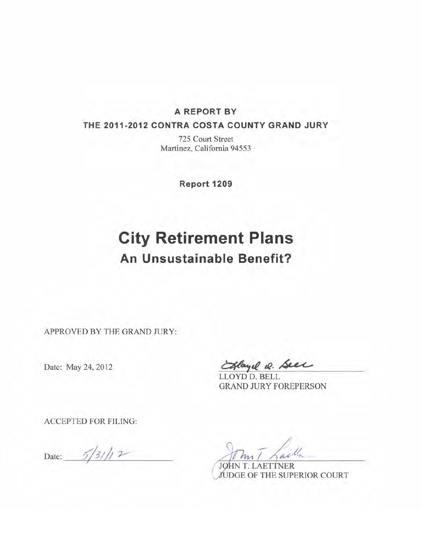### **A REPORT BY**

#### **THE 2011-2012 CONTRA COSTA COUNTY GRAND JURY**

**725 Court Street Martinez, California 94553** 

**Report 1209** 

# **City Retirement Plans An Unsustainable Benefit?**

**APPROVED BY THE GRAND JURY:** 

Date: May 24, 2012

**WQ?S 4.** 

**LLOYD D. BELL GRAND JURY FOREPERSON** 

**ACCEPTED FOR FILING:** 

Date:  $\frac{5}{3}$ /// 2

John.

**JOHN T. LAETTNER<br>JUDGE OF THE SUPERIOR COURT**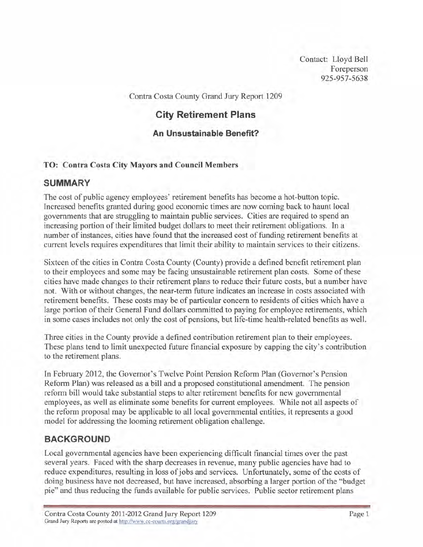Contact: Lloyd Bell Foreperson **925-957-5638** 

Contra Costa County Grand Jury Report 1209

## **City Retirement Plans**

#### **An Unsustainable Benefit?**

#### **TO: Contra Costa City Mayors and Council Members**

#### **SUMMARY**

The cost of public agency employees' retirement benefits has become a hot-button topic. Increased benefits granted during good economic times are now corning back to haunt local governments that are struggling to maintain public services. Cities are required to spend an increasing portion of their limited budget dollars to meet their retirement obligations. In a number of instances, cities have found that the increased cost of funding retirement benefits at current levels requires expenditures that limit their ability to maintain services to their citizens.

Sixteen of the cities in Contra Costa County (County) provide a defined benefit retirement plan to their employees and some may be facing unsustainable retirement plan costs. Some of these cities have made changes to their retirement plans to reduce their future costs, but a number have not. With or without changes, the near-term future indicates an increase in costs associated with retirement benefits. These costs may be of particular concern to residents of cities which have a large portion of their General Fund dollars committed to paying for employee retirements, which in some cases includes not only the cost of pensions, but life-time health-related benefits **as** well.

Three cities in the County provide a defined contribution retirement plan to their employees. These plans tend to limit unexpected future financial exposure by capping the city's contribution to the retirement plans.

In February 2012, the Governor's Twelve Point Pension Reform Plan (Governor's Pension Reform Plan) was released **as** a bill and a proposed constitutional amendment. The pension reform bill would take substantial steps to alter retirement benefits for new governmental employees, as well as eliminate some benefits for current employees. While not all aspects of the reform proposal may be applicable to all local governmental entities, it represents a good model for addressing the looming retirement obligation challenge.

## **BACKGROUND**

Local governmental agencies have been experiencing difficult financial times over the past several years. Faced with the sharp decreases in revenue, many public agencies have had to reduce expenditures, resulting in loss of jobs and services. Unfortunately, some of the costs of doing business have not decreased, but have increased, absorbing a larger portion of the "budget pie" and thus reducing the funds available for public services. Public sector retirement plans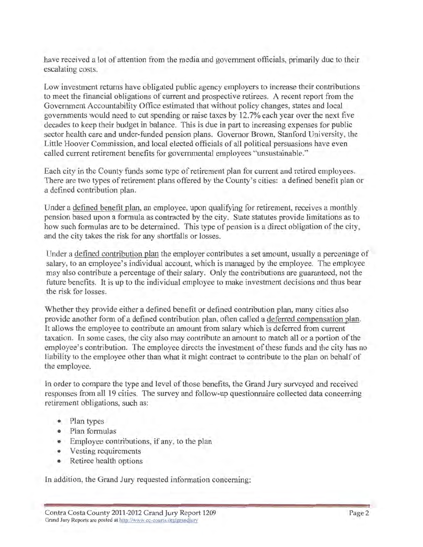have received a lot of attention from the media and government officials, primarily due to their escalating costs.

Low investment returns have obligated public agency employers to increase their contributions to meet the financial obligations of current and prospective retirees. A recent report from the Government Accountability Office estimated that without policy changes, states and local governments would need to cut spending or raise taxes by 12.7% each year over the next five decades to keep their budget in balance. This is due in part to increasing expenses for public sector health care and under-funded pension plans. Governor Brown, Stanford University, the Little Hoover Commission, and local elected officials of all political persuasions have even called current retirement benefits for governmental employees "unsustainable."

Each city in the County funds some type of retirement plan for current and retired employees. There are two types of retirement plans offered by the County's cities: a defined benefit plan or a defined contribution plan.

Under a defined benefit plan, an employee, upon qualifying for retirement, receives a monthly pension based upon a formula as contracted by the city. State statutes provide limitations as to how such formulas are to be determined. This type of pension is a direct obligation of the city, and the city takes the risk for any shortfalls or losses.

Under a defined contribution plan the employer contributes a set amount, usually a percentage of salary, to an employee's individual account, which is managed by the employee. The employee may also contribute a percentage of their salary. Only the contributions are guaranteed, not the future benefits. It is up to the individual employee to make investment decisions and thus bear the risk for losses.

Whether they provide either a defined benefit or defined contribution plan, many cities also provide another form of a defined contribution plan, often called a deferred compensation plan. It allows the employee to contribute an amount from salary which is deferred from current taxation. In some cases, the city also may contribute an amount to match all or a portion of the employee's contribution. The employee directs the investment of these funds and the city has no liability to the employee other than what it might contract to contribute to the plan on behalf of the employee.

In order to compare the type and level of those benefits, the Grand Jury surveyed and received responses from all 19 cities. The survey and follow-up questionnaire collected data concerning retirement obligations, such as:

- Plan types
- · Plan formulas
- Employee contributions, if any, to the plan
- Vesting requirements
- Retiree health options

In addition, the Grand Jury requested information concerning: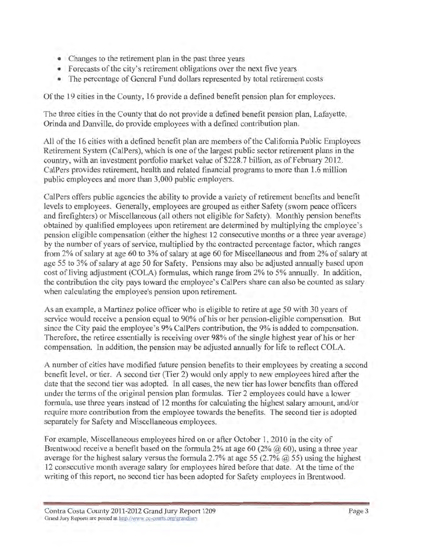- Changes to the retirement plan in the past three years
- Forecasts of the city's retirement obligations over the next five years
- The percentage of General Fund dollars represented by total retirement costs

Of the 19 cities in the County, 16 provide a defined benefit pension plan for employees.

The three cities in the County that do not provide a defined benefit pension plan, Lafayette, Orinda and Danville, do provide employees with a defined contribution plan.

All of the 16 cities with a defined benefit plan are members of the California Public Employees Retirement System (CalPers), which is one of the largest public sector retirement plans in the country, with an investment portfolio market value of \$228.7 billion, as of February 2012. CalPers provides retirement, health and related financial programs to more than 1.6 million public employees and more than 3,000 public employers.

CalPers offers public agencies the ability to provide a variety of retirement benefits and benefit levels to employees. Generally, employees are grouped as either Safety (sworn peace officers and firefighters) or Miscellaneous (all others not eligible for Safety). Monthly pension benefits obtained by qualified employees upon retirement are determined by multiplying the employee's pension eligible compensation (either the highest 12 consecutive months or a three year average) by the number of years of service, multiplied by the contracted percentage factor, which ranges from 2% of salary at age 60 to 3% of salary at age 60 for Miscellaneous and from 2% of salary at age 55 to 3% of salary at age 50 for Safety. Pensions may also be adjusted annually based upon cost of living adjustment (COLA) formulas, which range from 2% to 5% annually. In addition, the contribution the city pays toward the employee's CalPers share can also be counted as salary when calculating the employee's pension upon retirement.

As an example, a Martinez police officer who is eligible to retire at age 50 with 30 years of service would receive a pension equal to 90% of his or her pension-eligible compensation. But since the City paid the employee's 9% CalPers contribution, the 9% is added to compensation. Therefore, the retiree essentially is receiving over 98% of the single highest year of his or her compensation. In addition, the pension may be adjusted annually for life to reflect COLA.

A number of cities have modified future pension benefits to their employees by creating a second benefit level, or tier. A second tier (Tier 2) would only apply to new employees hired after the date that the second tier was adopted. In all cases, the new tier has lower benefits than offered under the terms of the original pension plan formulas. Tier 2 employees could have a lower formula, use three years instead of 12 months for calculating the highest salary amount, and/or require more contribution from the employee towards the benefits. The second tier is adopted separately for Safety and Miscellaneous employees.

For example, Miscellaneous employees hired on or after October 1, 2010 in the city of Brentwood receive a benefit based on the formula 2% at age 60 (2%  $\omega$  60), using a three year average for the highest salary versus the formula 2.7% at age 55 (2.7%  $\omega$ ) 55) using the highest 12 consecutive month average salary for employees hired before that date. At the time of the writing of this report, no second tier has been adopted for Safety employees in Brentwood.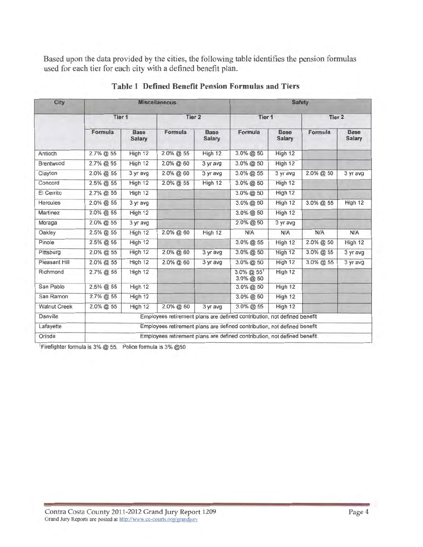Based upon the data provided by the cities, the following table identifies the pension formulas used for each tier for each city with a defined benefit plan.

| <b>City</b>         |              |                                                                          | <b>Miscellaneous</b> | <b>Safety</b>         |                                                                          |                              |              |                              |  |  |  |  |
|---------------------|--------------|--------------------------------------------------------------------------|----------------------|-----------------------|--------------------------------------------------------------------------|------------------------------|--------------|------------------------------|--|--|--|--|
|                     | Tier 1       |                                                                          | Tier 2               |                       | Tier 1                                                                   |                              | Tier 2       |                              |  |  |  |  |
|                     | Formula      | <b>Base</b><br><b>Salary</b>                                             | Formula              | <b>Base</b><br>Salary | Formula                                                                  | <b>Base</b><br><b>Salary</b> | Formula      | <b>Base</b><br><b>Salary</b> |  |  |  |  |
| Antioch             | 2.7% @ 55    | High 12                                                                  | 2.0% @ 55            | High 12               | 3.0% @ 50                                                                | High 12                      |              |                              |  |  |  |  |
| Brentwood           | 2.7% @ 55    | High 12                                                                  | $2.0\%$ @ 60         | 3 yr avg              | $3.0\%$ @ 50                                                             | High 12                      |              |                              |  |  |  |  |
| Clayton             | 2.0% @ 55    | 3 yr avg                                                                 | 2.0% @ 60            | 3 yr avg              | 3.0% @ 55                                                                | 3 yr avg                     | $2.0\%$ @ 50 | 3 yr avg                     |  |  |  |  |
| Concord             | 2.5% @ 55    | High 12                                                                  | 2.0% @ 55            | High 12               | 3.0% @ 50                                                                | High 12                      |              |                              |  |  |  |  |
| El Cerrito          | 2.7% @ 55    | High 12                                                                  |                      |                       | 3.0% @ 50                                                                | High 12                      |              |                              |  |  |  |  |
| <b>Hercules</b>     | 2.0% @ 55    | 3 yr avg                                                                 |                      |                       | $3.0\%$ @ 50                                                             | High 12                      | $3.0\%$ @ 55 | High 12                      |  |  |  |  |
| Martinez            | $2.0\%$ @ 55 | High 12                                                                  |                      |                       | 3.0% @ 50                                                                | High 12                      |              |                              |  |  |  |  |
| Moraga              | 2.0% @ 55    | 3 yr avg                                                                 |                      |                       | 2.0% @ 50                                                                | 3 yr avg                     |              |                              |  |  |  |  |
| Oakley              | 2.5% @ 55    | High 12                                                                  | 2.0% @ 60            | High 12               | N/A                                                                      | N/A                          | N/A          | N/A                          |  |  |  |  |
| Pinole              | $2.5\%$ @ 55 | High 12                                                                  |                      |                       | $3.0\%$ @ 55                                                             | High 12                      | $2.0\%$ @ 50 | High 12                      |  |  |  |  |
| Pittsburg           | 2.0% @ 55    | High 12                                                                  | 2.0% @ 60            | 3 yr avg              | 3.0% @ 50                                                                | High 12                      | 3.0% @ 55    | 3 yr avg                     |  |  |  |  |
| Pleasant Hill       | 2.0% @ 55    | High 12                                                                  | $2.0\%$ @ 60         | 3 yr avg              | 3.0% @ 50                                                                | High 12                      | 3.0% @ 55    | 3 yr avg                     |  |  |  |  |
| Richmond            | 2.7% @ 55    | High 12                                                                  |                      |                       | 3.0% @ 551<br>3.0% @ 50                                                  | High 12                      |              |                              |  |  |  |  |
| San Pablo           | 2.5% @ 55    | High 12                                                                  |                      |                       | 3.0% @ 50                                                                | High 12                      |              |                              |  |  |  |  |
| San Ramon           | $2.7\%$ @ 55 | High 12                                                                  |                      |                       | 3.0% @ 50                                                                | High 12                      |              |                              |  |  |  |  |
| <b>Walnut Creek</b> | 2.0% @ 55    | High 12                                                                  | 2.0% @ 60            | 3 yr avg              | 3.0% @ 55                                                                | High 12                      |              |                              |  |  |  |  |
| Danville            |              | Employees retirement plans are defined contribution, not defined benefit |                      |                       |                                                                          |                              |              |                              |  |  |  |  |
| Lafayette           |              | Employees retirement plans are defined contribution, not defined benefit |                      |                       |                                                                          |                              |              |                              |  |  |  |  |
| Orinda              |              |                                                                          |                      |                       | Employees retirement plans are defined contribution, not defined benefit |                              |              |                              |  |  |  |  |

## **Table 1 Defined Benefit Pension Formulas and Tiers**

Firefighter formula is 3% @ 55. Police formula is 3% @50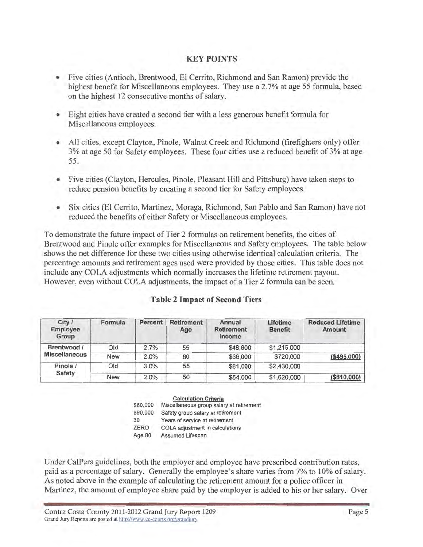#### **KEY POINTS**

- Five cities (Antioch, Brentwood, El Cerrito, Richmond and San Ramon) provide the highest benefit for Miscellaneous employees. They use a 2.7% at age 55 formula, based on the highest 12 consecutive months of salary.
- Eight cities have created a second tier with a less generous benefit formula for Miscellaneous employees.
- All cities, except Clayton, Pinole, Walnut Creek and Richmond (firefighters only) offer 3% at age 50 for Safety employees. These four cities use a reduced benefit of 3% at age 55.
- Five cities (Clayton, Hercules, Pinole, Pleasant Hill and Pittsburg) have taken steps to reduce pension benefits by creating a second tier for Safety employees.
- Six cities (El Cerrito, Martinez, Moraga, Richmond, San Pablo and San Ramon) have not reduced the benefits of either Safety or Miscellaneous employees.

To demonstrate the future impact of Tier 2 formulas on retirement benefits, the cities of Brentwood and Pinole offer examples for Miscellaneous and Safety employees. The table below shows the net difference for these two cities using otherwise identical calculation criteria. The percentage amounts and retirement ages used were provided by those cities. This table does not include any COLA adjustments which normally increases the lifetime retirement payout. However, even without COLA adjustments, the impact of a Tier 2 formula can be seen.

| City /<br>Employee<br>Group         | Formula<br>Percent |      | Retirement<br>Age | Annual<br>Retirement<br>Income | Lifetime<br><b>Benefit</b> | <b>Reduced Lifetime</b><br>Amount |  |  |
|-------------------------------------|--------------------|------|-------------------|--------------------------------|----------------------------|-----------------------------------|--|--|
| Brentwood /<br><b>Miscellaneous</b> | Old                | 2.7% | 55                | \$48,600                       | \$1,215,000                |                                   |  |  |
|                                     | <b>New</b>         | 2.0% | 60                | \$36,000                       | \$720,000                  | ( \$495,000)                      |  |  |
| Pinole /<br>Safety                  | Old                | 3.0% | 55                | \$81,000                       | \$2,430,000                |                                   |  |  |
|                                     | <b>New</b>         | 2.0% | 50                | \$54,000                       | \$1,620,000                | ( \$810,000)                      |  |  |

#### **Table 2 Impact of Second Tiers**

**Calculation Criteria** 

\$60,000 Miscellaneous group salary at retirement \$90,000 Safety group salary at retirement 30 Years of service at retirement **ZERO** COLA adjustment in calculations Age 80 Assumed Lifespan

Under CalPers guidelines, both the employer and employee have prescribed contribution rates, paid as a percentage of salary. Generally the employee's share varies from 7% to 10% of salary. As noted above in the example of calculating the retirement amount for a police officer in Martinez, the amount of employee share paid by the employer is added to his or her salary. Over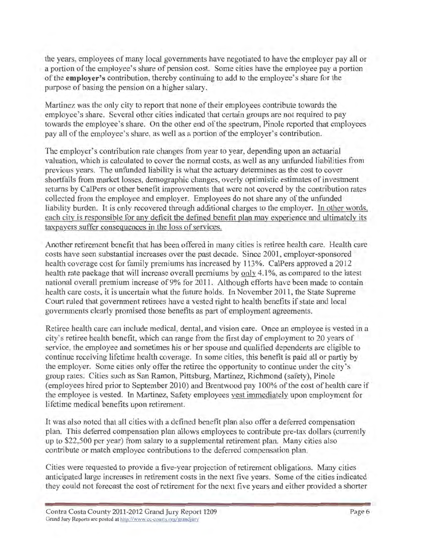the years, employees of many local governments have negotiated to have the employer pay all or a portion of the employee's share of pension cost. Some cities have the employee pay a portion of the **employer's** contribution, thereby continuing to add to the employee's share for the purpose of basing the pension on a higher salary.

Martinez was the only city to report that none of their employees contribute towards the employee's share. Several other cities indicated that certain groups are not required to pay towards the employee's share. On the other end of the spectrum, Pinole reported that employees pay all of the employee's share, as well as a portion of the employer's contribution.

The employer's contribution rate changes from year to year, depending upon an actuarial valuation, which is calculated to cover the normal costs, as well as any unfunded liabilities from previous years. The unfunded liability is what the actuary determines as the cost to cover shortfalls from market losses, demographic changes, overly optimistic estimates of investment returns by CalPers or other benefit improvements that were not covered by the contribution rates collected from the employee and employer. Employees do not share any of the unfunded liability burden. It is only recovered through additional charges to the employer. In other words, each city is responsible for any deficit the defined benefit plan may experience and ultimately its taxpayers suffer consequences in the loss of services.

Another retirement benefit that has been offered in many cities is retiree health care. Health care costs have seen substantial increases over the past decade. Since 2001, employer-sponsored health coverage cost for family premiums has increased by 113%. CalPers approved a 2012 health rate package that will increase overall premiums by only 4.1%, as compared to the latest national overall premium increase of 9% for 2011. Although efforts have been made to contain health care costs, it is uncertain what the future holds. In November 2011, the State Supreme Court ruled that government retirees have a vested right to health benefits if state and local governments clearly promised those benefits as part of employment agreements.

Retiree health care can include medical, dental, and vision care. Once an employee is vested in a city's retiree health benefit, which can range from the first day of employment to 20 years of service, the employee and sometimes his or her spouse and qualified dependents are eligible to continue receiving lifetime health coverage. In some cities, this benefit is paid all or partly by the employer. Some cities only offer the retiree the opportunity to continue under the city's group rates. Cities such as San Ramon, Pittsburg, Martinez, Richmond (safety), Pinole (employees hired prior to September 2010) and Brentwood pay 100% of the cost of health care if the employee is vested. In Martinez, Safety employees vest immediately upon employment for lifetime medical benefits upon retirement.

It was also noted that all cities with a defined benefit plan also offer a deferred compensation plan. This deferred compensation plan allows employees to contribute pre-tax dollars (currently up to \$22,500 per year) from salary to a supplemental retirement plan. Many cities also contribute or match employee contributions to the deferred compensation plan.

Cities were requested to provide a five-year projection of retirement obligations. Many cities anticipated large increases in retirement costs in the next five years. Some of the cities indicated they could not forecast the cost of retirement for the next five years and either provided a shorter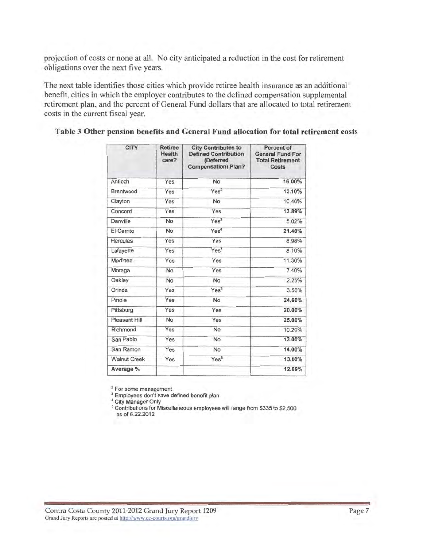projection of costs or none at all. No city anticipated a reduction in the cost for retirement obligations over the next five years.

The next table identifies those cities which provide retiree health insurance as an additional benefit, cities in which the employer contributes to the defined compensation supplemental retirement plan, and the percent of General Fund dollars that are allocated to total retirement costs in the current fiscal year.

| <b>CITY</b>         | <b>Retiree</b><br><b>Health</b><br>care? | <b>City Contributes to</b><br><b>Defined Contribution</b><br>(Deferred<br><b>Compensation) Plan?</b> | Percent of<br><b>General Fund For</b><br><b>Total Retirement</b><br>Costs |  |  |  |
|---------------------|------------------------------------------|------------------------------------------------------------------------------------------------------|---------------------------------------------------------------------------|--|--|--|
| Antioch             | Yes                                      | <b>No</b>                                                                                            | 16.00%                                                                    |  |  |  |
| Brentwood           | Yes                                      | Yes <sup>2</sup>                                                                                     | 13.10%                                                                    |  |  |  |
| Clayton             | Yes                                      | No                                                                                                   | 10.40%                                                                    |  |  |  |
| Concord             | Yes                                      | Yes                                                                                                  | 13.89%                                                                    |  |  |  |
| Danville            | <b>No</b>                                | Yes <sup>3</sup>                                                                                     | 5.02%                                                                     |  |  |  |
| El Cerrito          | No                                       | Yes <sup>4</sup>                                                                                     | 21.40%                                                                    |  |  |  |
| <b>Hercules</b>     | Yes                                      | Yes                                                                                                  | 8.98%                                                                     |  |  |  |
| Lafayette           | Yes                                      | Yes <sup>3</sup>                                                                                     | 8.10%                                                                     |  |  |  |
| Martinez            | Yes                                      | Yes                                                                                                  | 11.30%                                                                    |  |  |  |
| Moraga              | No                                       | Yes                                                                                                  | 7.40%                                                                     |  |  |  |
| Oakley              | No                                       | No                                                                                                   | 2.25%                                                                     |  |  |  |
| Orinda              | Yes                                      | Yes <sup>3</sup>                                                                                     | 3.50%                                                                     |  |  |  |
| Pinole              | Yes                                      | No                                                                                                   | 24.60%                                                                    |  |  |  |
| Pittsburg           | Yes                                      | Yes                                                                                                  | 20.00%                                                                    |  |  |  |
| Pleasant Hill       | No                                       | Yes                                                                                                  | 25.00%                                                                    |  |  |  |
| Richmond            | Yes                                      | No                                                                                                   | 10.20%                                                                    |  |  |  |
| San Pablo           | Yes                                      | No                                                                                                   | 13.00%                                                                    |  |  |  |
| San Ramon           | Yes.                                     | No                                                                                                   | 14.00%                                                                    |  |  |  |
| <b>Walnut Creek</b> | Yes                                      | Yes <sup>5</sup>                                                                                     | 13.00%                                                                    |  |  |  |
| Average %           |                                          |                                                                                                      | 12.69%                                                                    |  |  |  |

#### Table 3 Other pension benefits and General Fund allocation for total retirement costs

<sup>2</sup> For some management

<sup>3</sup> Employees don't have defined benefit plan

<sup>4</sup> City Manager Only

<sup>5</sup> Contributions for Miscellaneous employees will range from \$335 to \$2,500 as of 6.22.2012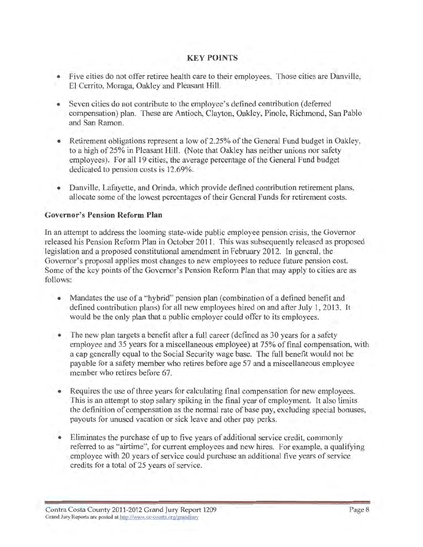#### **KEY POINTS**

- Five cities do not offer retiree health care to their employees. Those cities are Danville, ۰ El Cerrito, Moraga, Oakley and Pleasant Hill.
- Seven cities do not contribute to the employee's defined contribution (deferred compensation) plan. These are Antioch, Clayton, Oakley, Pinole, Richmond, San Pablo and San Ramon.
- Retirement obligations represent a low of 2.25% of the General Fund budget in Oakley. to a high of 25% in Pleasant Hill. (Note that Oakley has neither unions nor safety employees). For all 19 cities, the average percentage of the General Fund budget dedicated to pension costs is 12.69%.
- Danville, Lafayette, and Orinda, which provide defined contribution retirement plans, allocate some of the lowest percentages of their General Funds for retirement costs.

#### **Governor's Pension Reform Plan**

In an attempt to address the looming state-wide public employee pension crisis, the Governor released his Pension Reform Plan in October 2011. This was subsequently released as proposed legislation and a proposed constitutional amendment in February 2012. In general, the Governor's proposal applies most changes to new employees to reduce future pension cost. Some of the key points of the Governor's Pension Reform Plan that may apply to cities are as follows:

- Mandates the use of a "hybrid" pension plan (combination of a defined benefit and defined contribution plans) for all new employees hired on and after July 1, 2013. It would be the only plan that a public employer could offer to its employees.
- The new plan targets a benefit after a full career (defined as 30 years for a safety employee and 35 years for a miscellaneous employee) at 75% of final compensation, with a cap generally equal to the Social Security wage base. The full benefit would not be payable for a safety member who retires before age 57 and a miscellaneous employee member who retires before 67.
- Requires the use of three years for calculating final compensation for new employees. This is an attempt to stop salary spiking in the final year of employment. It also limits the definition of compensation as the normal rate of base pay, excluding special bonuses, payouts for unused vacation or sick leave and other pay perks.
- Eliminates the purchase of up to five years of additional service credit, commonly ٠ referred to as "airtime", for current employees and new hires. For example, a qualifying employee with 20 years of service could purchase an additional five years of service credits for a total of 25 years of service.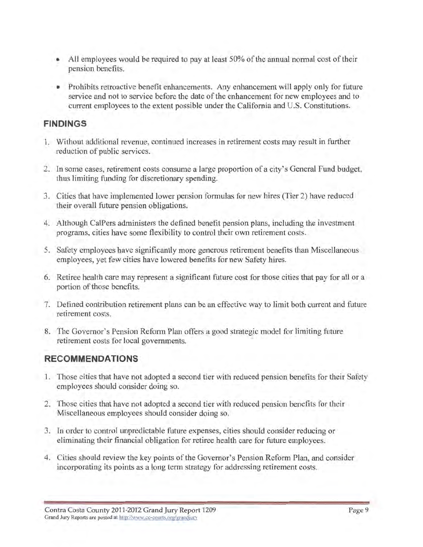- All employees would be required to pay at least 50% of the annual normal cost of their pension benefits.
- Prohibits retroactive benefit enhancements. Any enhancement will apply only for future service and not to service before the date of the enhancement for new employees and to current employees to the extent possible under the California and U.S. Constitutions.

## **FINDINGS**

- 1. Without additional revenue, continued increases in retirement costs may result in further reduction of public services.
- 2. In some cases, retirement costs consume a large proportion of a city's General Fund budget, thus limiting funding for discretionary spending.
- 3. Cities that have implemented lower pension formulas for new hires (Tier 2) have reduced their overall future pension obligations.
- 4. Although CalPers administers the defined benefit pension plans, including the investment programs, cities have some flexibility to control their own retirement costs.
- 5. Safety employees have significantly more generous retirement benefits than Miscellaneous employees, yet few cities have lowered benefits for new Safety hires.
- 6. Retiree health care may represent a significant future cost for those cities that pay for all or a portion of those benefits.
- 7. Defined contribution retirement plans can be an effective way to limit both current and future retirement costs.
- 8. The Governor's Pension Reform Plan offers a good strategic model for limiting future retirement costs for local governments.

# **RECOMMENDATIONS**

- 1. Those cities that have not adopted a second tier with reduced pension benefits for their Safety employees should consider doing so.
- 2. Those cities that have not adopted a second tier with reduced pension benefits for their Miscellaneous employees should consider doing so.
- 3. In order to control unpredictable future expenses, cities should consider reducing or eliminating their financial obligation for retiree health care for future employees.
- 4. Cities should review the key points of the Governor's Pension Reform Plan, and consider incorporating its points as a long term strategy for addressing retirement costs.

Contra Costa County 2011-2012 Grand Jury Report 1209 Grand Jury Reports are posted at http://www.cc-courts.org/grandjury